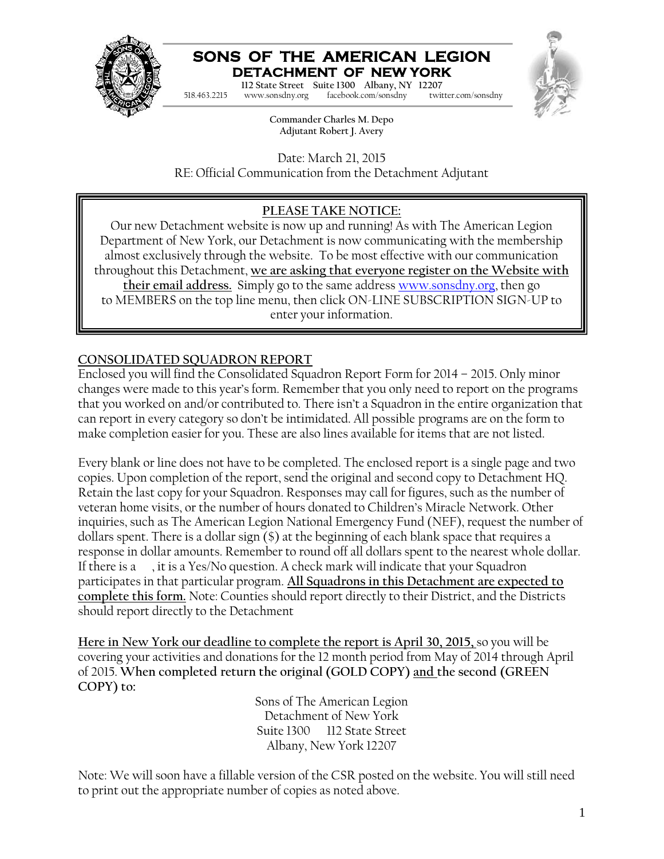

# **SONS OF THE AMERICAN LEGION DETACHMENT OF NEW YORK**

**Commander Charles M. Depo 112 State Street Suite 1300 Albany, NY 12207 Adjutant Robert J. Avery** 518.463.2215 www.sonsdny.org facebook.com/sonsdny twitter.com/sonsdny



**Commander Charles M. Depo Adjutant Robert J. Avery**

Date: March 21, 2015 RE: Official Communication from the Detachment Adjutant

## **PLEASE TAKE NOTICE:**

Our new Detachment website is now up and running! As with The American Legion Department of New York, our Detachment is now communicating with the membership almost exclusively through the website. To be most effective with our communication throughout this Detachment, **we are asking that everyone register on the Website with their email address.** Simply go to the same address www.sonsdny.org, then go to MEMBERS on the top line menu, then click ON-LINE SUBSCRIPTION SIGN-UP to enter your information.

### **CONSOLIDATED SQUADRON REPORT**

Enclosed you will find the Consolidated Squadron Report Form for 2014 – 2015. Only minor changes were made to this year's form. Remember that you only need to report on the programs that you worked on and/or contributed to. There isn't a Squadron in the entire organization that can report in every category so don't be intimidated. All possible programs are on the form to make completion easier for you. These are also lines available for items that are not listed.

Every blank or line does not have to be completed. The enclosed report is a single page and two copies. Upon completion of the report, send the original and second copy to Detachment HQ. Retain the last copy for your Squadron. Responses may call for figures, such as the number of veteran home visits, or the number of hours donated to Children's Miracle Network. Other inquiries, such as The American Legion National Emergency Fund (NEF), request the number of dollars spent. There is a dollar sign (\$) at the beginning of each blank space that requires a response in dollar amounts. Remember to round off all dollars spent to the nearest whole dollar. If there is a , it is a Yes/No question. A check mark will indicate that your Squadron participates in that particular program. **All Squadrons in this Detachment are expected to complete this form.** Note: Counties should report directly to their District, and the Districts should report directly to the Detachment

**Here in New York our deadline to complete the report is April 30, 2015,** so you will be covering your activities and donations for the 12 month period from May of 2014 through April of 2015. **When completed return the original (GOLD COPY) and the second (GREEN COPY) to:**

Sons of The American Legion Detachment of New York Suite 1300 112 State Street Albany, New York 12207

Note: We will soon have a fillable version of the CSR posted on the website. You will still need to print out the appropriate number of copies as noted above.